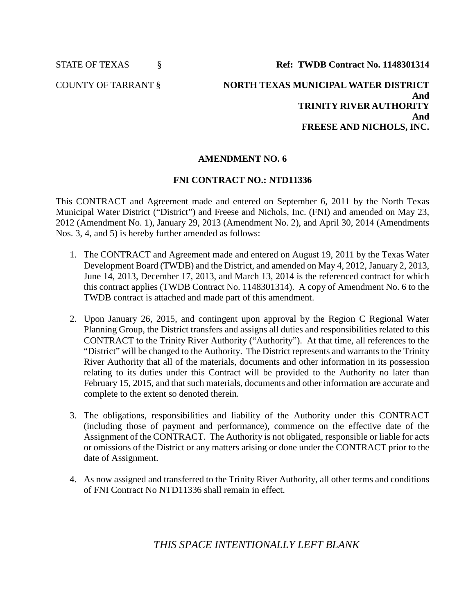STATE OF TEXAS § **Ref: TWDB Contract No. 1148301314**

COUNTY OF TARRANT § **NORTH TEXAS MUNICIPAL WATER DISTRICT And TRINITY RIVER AUTHORITY And FREESE AND NICHOLS, INC.**

## **AMENDMENT NO. 6**

## **FNI CONTRACT NO.: NTD11336**

This CONTRACT and Agreement made and entered on September 6, 2011 by the North Texas Municipal Water District ("District") and Freese and Nichols, Inc. (FNI) and amended on May 23, 2012 (Amendment No. 1), January 29, 2013 (Amendment No. 2), and April 30, 2014 (Amendments Nos. 3, 4, and 5) is hereby further amended as follows:

- 1. The CONTRACT and Agreement made and entered on August 19, 2011 by the Texas Water Development Board (TWDB) and the District, and amended on May 4, 2012, January 2, 2013, June 14, 2013, December 17, 2013, and March 13, 2014 is the referenced contract for which this contract applies (TWDB Contract No. 1148301314). A copy of Amendment No. 6 to the TWDB contract is attached and made part of this amendment.
- 2. Upon January 26, 2015, and contingent upon approval by the Region C Regional Water Planning Group, the District transfers and assigns all duties and responsibilities related to this CONTRACT to the Trinity River Authority ("Authority"). At that time, all references to the "District" will be changed to the Authority. The District represents and warrants to the Trinity River Authority that all of the materials, documents and other information in its possession relating to its duties under this Contract will be provided to the Authority no later than February 15, 2015, and that such materials, documents and other information are accurate and complete to the extent so denoted therein.
- 3. The obligations, responsibilities and liability of the Authority under this CONTRACT (including those of payment and performance), commence on the effective date of the Assignment of the CONTRACT. The Authority is not obligated, responsible or liable for acts or omissions of the District or any matters arising or done under the CONTRACT prior to the date of Assignment.
- 4. As now assigned and transferred to the Trinity River Authority, all other terms and conditions of FNI Contract No NTD11336 shall remain in effect.

*THIS SPACE INTENTIONALLY LEFT BLANK*